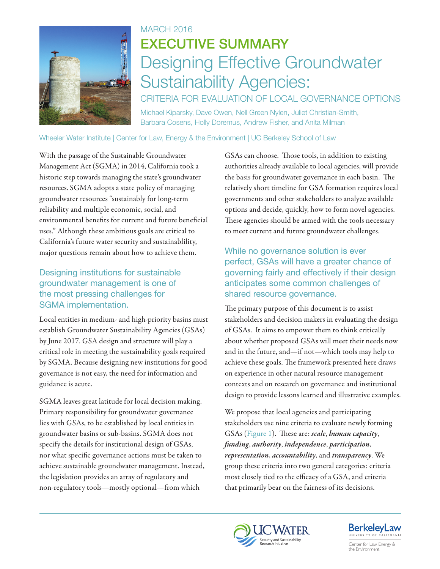

## MARCH 2016 EXECUTIVE SUMMARY Designing Effective Groundwater Sustainability Agencies:

CRITERIA FOR EVALUATION OF LOCAL GOVERNANCE OPTIONS Michael Kiparsky, Dave Owen, Nell Green Nylen, Juliet Christian-Smith, Barbara Cosens, Holly Doremus, Andrew Fisher, and Anita Milman

Wheeler Water Institute | Center for Law, Energy & the Environment | UC Berkeley School of Law

With the passage of the Sustainable Groundwater Management Act (SGMA) in 2014, California took a historic step towards managing the state's groundwater resources. SGMA adopts a state policy of managing groundwater resources "sustainably for long-term reliability and multiple economic, social, and environmental benefits for current and future beneficial uses." Although these ambitious goals are critical to California's future water security and sustainablility, major questions remain about how to achieve them.

## Designing institutions for sustainable groundwater management is one of the most pressing challenges for SGMA implementation.

Local entities in medium- and high-priority basins must establish Groundwater Sustainability Agencies (GSAs) by June 2017. GSA design and structure will play a critical role in meeting the sustainability goals required by SGMA. Because designing new institutions for good governance is not easy, the need for information and guidance is acute.

SGMA leaves great latitude for local decision making. Primary responsibility for groundwater governance lies with GSAs, to be established by local entities in groundwater basins or sub-basins. SGMA does not specify the details for institutional design of GSAs, nor what specific governance actions must be taken to achieve sustainable groundwater management. Instead, the legislation provides an array of regulatory and non-regulatory tools—mostly optional—from which

GSAs can choose. Those tools, in addition to existing authorities already available to local agencies, will provide the basis for groundwater governance in each basin. The relatively short timeline for GSA formation requires local governments and other stakeholders to analyze available options and decide, quickly, how to form novel agencies. These agencies should be armed with the tools necessary to meet current and future groundwater challenges.

While no governance solution is ever perfect, GSAs will have a greater chance of governing fairly and effectively if their design anticipates some common challenges of shared resource governance.

The primary purpose of this document is to assist stakeholders and decision makers in evaluating the design of GSAs. It aims to empower them to think critically about whether proposed GSAs will meet their needs now and in the future, and—if not—which tools may help to achieve these goals. The framework presented here draws on experience in other natural resource management contexts and on research on governance and institutional design to provide lessons learned and illustrative examples.

We propose that local agencies and participating stakeholders use nine criteria to evaluate newly forming GSAs (Figure 1). These are: *scale*, *human capacity*, *funding*, *authority*, *independence*, *participation*, *representation*, *accountability*, and *transparency*. We group these criteria into two general categories: criteria most closely tied to the efficacy of a GSA, and criteria that primarily bear on the fairness of its decisions.





Center for Law, Energy & the Environment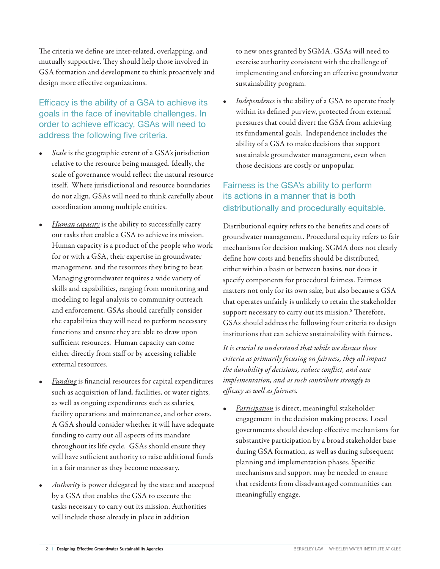The criteria we define are inter-related, overlapping, and mutually supportive. They should help those involved in GSA formation and development to think proactively and design more effective organizations.

Efficacy is the ability of a GSA to achieve its goals in the face of inevitable challenges. In order to achieve efficacy, GSAs will need to address the following five criteria.

- *Scale* is the geographic extent of a GSA's jurisdiction relative to the resource being managed. Ideally, the scale of governance would reflect the natural resource itself. Where jurisdictional and resource boundaries do not align, GSAs will need to think carefully about coordination among multiple entities.
- *Human capacity* is the ability to successfully carry out tasks that enable a GSA to achieve its mission. Human capacity is a product of the people who work for or with a GSA, their expertise in groundwater management, and the resources they bring to bear. Managing groundwater requires a wide variety of skills and capabilities, ranging from monitoring and modeling to legal analysis to community outreach and enforcement. GSAs should carefully consider the capabilities they will need to perform necessary functions and ensure they are able to draw upon sufficient resources. Human capacity can come either directly from staff or by accessing reliable external resources.
- *Funding* is financial resources for capital expenditures such as acquisition of land, facilities, or water rights, as well as ongoing expenditures such as salaries, facility operations and maintenance, and other costs. A GSA should consider whether it will have adequate funding to carry out all aspects of its mandate throughout its life cycle. GSAs should ensure they will have sufficient authority to raise additional funds in a fair manner as they become necessary.
- *Authority* is power delegated by the state and accepted by a GSA that enables the GSA to execute the tasks necessary to carry out its mission. Authorities will include those already in place in addition

to new ones granted by SGMA. GSAs will need to exercise authority consistent with the challenge of implementing and enforcing an effective groundwater sustainability program.

• *Independence* is the ability of a GSA to operate freely within its defined purview, protected from external pressures that could divert the GSA from achieving its fundamental goals. Independence includes the ability of a GSA to make decisions that support sustainable groundwater management, even when those decisions are costly or unpopular.

## Fairness is the GSA's ability to perform its actions in a manner that is both distributionally and procedurally equitable.

Distributional equity refers to the benefits and costs of groundwater management. Procedural equity refers to fair mechanisms for decision making. SGMA does not clearly define how costs and benefits should be distributed, either within a basin or between basins, nor does it specify components for procedural fairness. Fairness matters not only for its own sake, but also because a GSA that operates unfairly is unlikely to retain the stakeholder support necessary to carry out its mission.<sup>8</sup> Therefore, GSAs should address the following four criteria to design institutions that can achieve sustainability with fairness.

*It is crucial to understand that while we discuss these criteria as primarily focusing on fairness, they all impact the durability of decisions, reduce conflict, and ease implementation, and as such contribute strongly to efficacy as well as fairness.* 

• *Participation* is direct, meaningful stakeholder engagement in the decision making process. Local governments should develop effective mechanisms for substantive participation by a broad stakeholder base during GSA formation, as well as during subsequent planning and implementation phases. Specific mechanisms and support may be needed to ensure that residents from disadvantaged communities can meaningfully engage.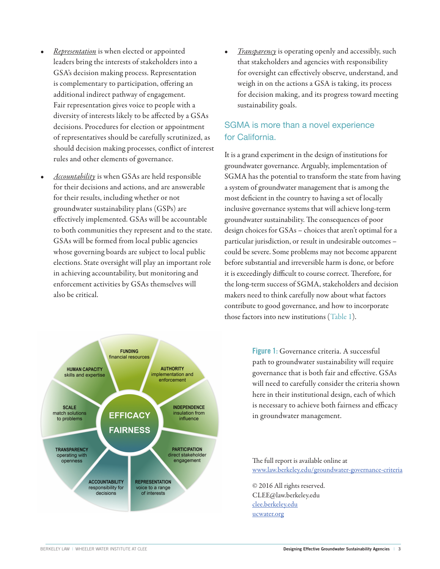- *Representation* is when elected or appointed leaders bring the interests of stakeholders into a GSA's decision making process. Representation is complementary to participation, offering an additional indirect pathway of engagement. Fair representation gives voice to people with a diversity of interests likely to be affected by a GSAs decisions. Procedures for election or appointment of representatives should be carefully scrutinized, as should decision making processes, conflict of interest rules and other elements of governance.
- *Accountability* is when GSAs are held responsible for their decisions and actions, and are answerable for their results, including whether or not groundwater sustainability plans (GSPs) are effectively implemented. GSAs will be accountable to both communities they represent and to the state. GSAs will be formed from local public agencies whose governing boards are subject to local public elections. State oversight will play an important role in achieving accountability, but monitoring and enforcement activities by GSAs themselves will also be critical.



• *Transparency* is operating openly and accessibly, such that stakeholders and agencies with responsibility for oversight can effectively observe, understand, and weigh in on the actions a GSA is taking, its process for decision making, and its progress toward meeting sustainability goals.

## SGMA is more than a novel experience for California.

It is a grand experiment in the design of institutions for groundwater governance. Arguably, implementation of SGMA has the potential to transform the state from having a system of groundwater management that is among the most deficient in the country to having a set of locally inclusive governance systems that will achieve long-term groundwater sustainability. The consequences of poor design choices for GSAs – choices that aren't optimal for a particular jurisdiction, or result in undesirable outcomes – could be severe. Some problems may not become apparent before substantial and irreversible harm is done, or before it is exceedingly difficult to course correct. Therefore, for the long-term success of SGMA, stakeholders and decision makers need to think carefully now about what factors contribute to good governance, and how to incorporate those factors into new institutions (Table 1).

> Figure 1: Governance criteria. A successful path to groundwater sustainability will require governance that is both fair and effective. GSAs will need to carefully consider the criteria shown here in their institutional design, each of which is necessary to achieve both fairness and efficacy in groundwater management.

The full report is available online at [www.law.berkeley.edu/groundwater-governance-criteri](http:/www.law.berkeley.edu/groundwater-governance-criteria)a

© 2016 All rights reserved. CLEE@law.berkeley.edu [clee.berkeley.edu](http://www.clee.berkeley.edu) [ucwater.org](http://www.ucwater.org)